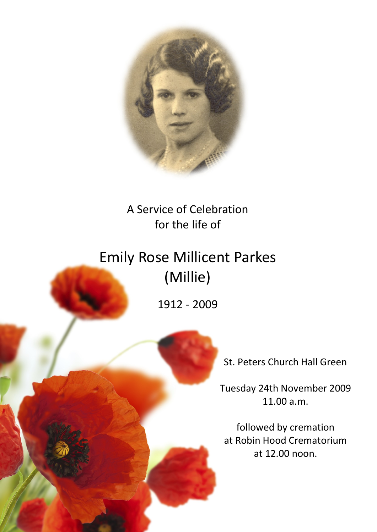

A Service of Celebration for the life of

# Emily Rose Millicent Parkes (Millie)

1912 - 2009



St. Peters Church Hall Green

Tuesday 24th November 2009 11.00 a.m.

followed by cremation at Robin Hood Crematorium at 12.00 noon.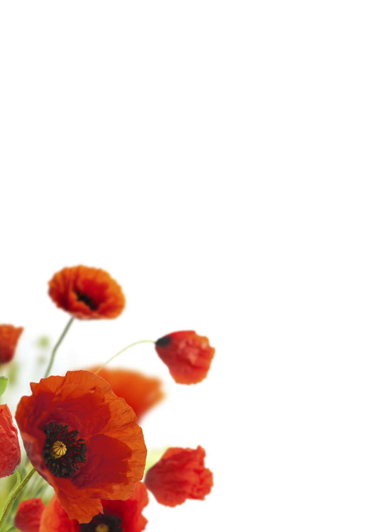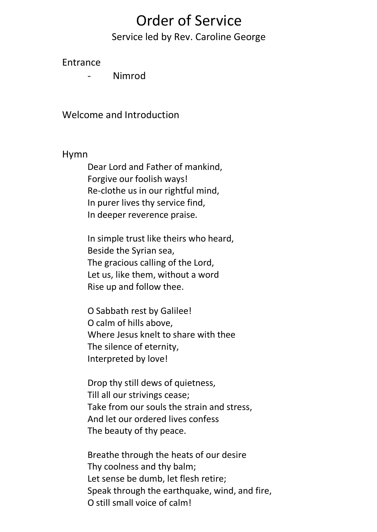# Order of Service

# Service led by Rev. Caroline George

# **Entrance**

- Nimrod

Welcome and Introduction

# Hymn

Dear Lord and Father of mankind, Forgive our foolish ways! Re-clothe us in our rightful mind, In purer lives thy service find, In deeper reverence praise.

In simple trust like theirs who heard, Beside the Syrian sea, The gracious calling of the Lord, Let us, like them, without a word Rise up and follow thee.

O Sabbath rest by Galilee! O calm of hills above, Where Jesus knelt to share with thee The silence of eternity, Interpreted by love!

Drop thy still dews of quietness, Till all our strivings cease; Take from our souls the strain and stress, And let our ordered lives confess The beauty of thy peace.

Breathe through the heats of our desire Thy coolness and thy balm; Let sense be dumb, let flesh retire; Speak through the earthquake, wind, and fire, O still small voice of calm!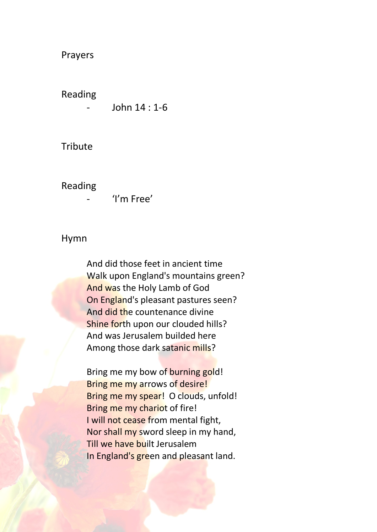## Prayers

# Reading

- John 14 : 1-6

#### **Tribute**

#### Reading

- 'I'm Free'

#### Hymn

And did those feet in ancient time Walk upon England's mountains green? And was the Holy Lamb of God On England's pleasant pastures seen? And did the countenance divine Shine forth upon our clouded hills? And was Jerusalem builded here Among those dark satanic mills?

Bring me my bow of burning gold! Bring me my arrows of desire! Bring me my spear! O clouds, unfold! Bring me my chariot of fire! I will not cease from mental fight, Nor shall my sword sleep in my hand, Till we have built Jerusalem In England's green and pleasant land.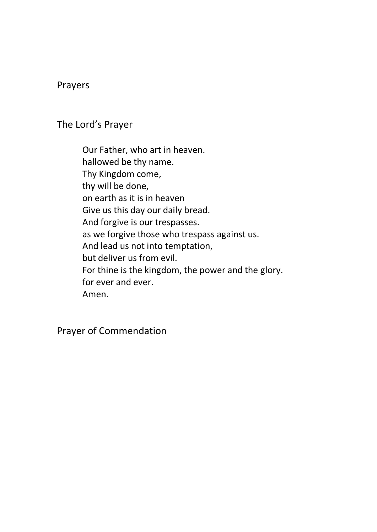# Prayers

# The Lord's Prayer

Our Father, who art in heaven. hallowed be thy name. Thy Kingdom come, thy will be done, on earth as it is in heaven Give us this day our daily bread. And forgive is our trespasses. as we forgive those who trespass against us. And lead us not into temptation, but deliver us from evil. For thine is the kingdom, the power and the glory. for ever and ever. Amen.

Prayer of Commendation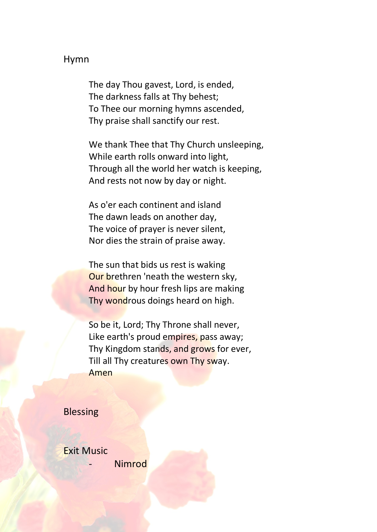#### Hymn

The day Thou gavest, Lord, is ended, The darkness falls at Thy behest; To Thee our morning hymns ascended, Thy praise shall sanctify our rest.

We thank Thee that Thy Church unsleeping, While earth rolls onward into light, Through all the world her watch is keeping, And rests not now by day or night.

As o'er each continent and island The dawn leads on another day, The voice of prayer is never silent, Nor dies the strain of praise away.

The sun that bids us rest is waking Our brethren 'neath the western sky, And hour by hour fresh lips are making Thy wondrous doings heard on high.

So be it, Lord; Thy Throne shall never, Like earth's proud empires, pass away: Thy Kingdom stands, and grows for ever, Till all Thy creatures own Thy sway. Amen

Blessing

Exit Music - Nimrod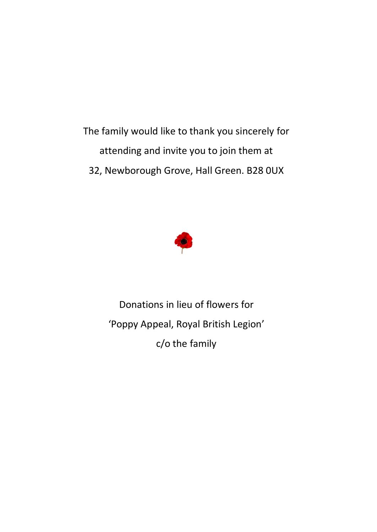The family would like to thank you sincerely for attending and invite you to join them at 32, Newborough Grove, Hall Green. B28 0UX



Donations in lieu of flowers for 'Poppy Appeal, Royal British Legion' c/o the family